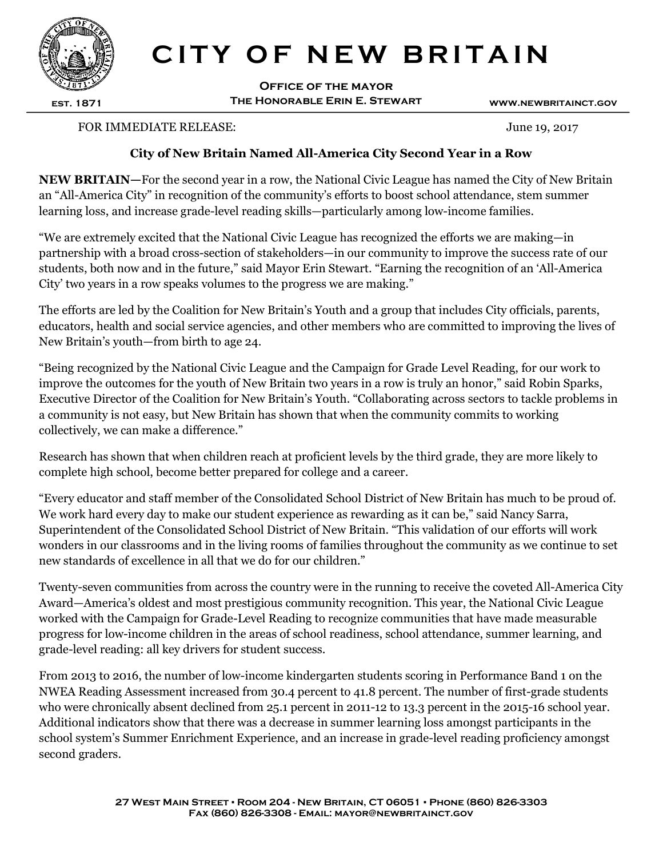

## CITY OF NEW BRITAIN

Office of the mayor The Honorable Erin E. Stewart www.newbritainct.gov

## FOR IMMEDIATE RELEASE: June 19, 2017

## City of New Britain Named All-America City Second Year in a Row

NEW BRITAIN—For the second year in a row, the National Civic League has named the City of New Britain an "All-America City" in recognition of the community's efforts to boost school attendance, stem summer learning loss, and increase grade-level reading skills—particularly among low-income families.

"We are extremely excited that the National Civic League has recognized the efforts we are making—in partnership with a broad cross-section of stakeholders—in our community to improve the success rate of our students, both now and in the future," said Mayor Erin Stewart. "Earning the recognition of an 'All-America City' two years in a row speaks volumes to the progress we are making."

The efforts are led by the Coalition for New Britain's Youth and a group that includes City officials, parents, educators, health and social service agencies, and other members who are committed to improving the lives of New Britain's youth—from birth to age 24.

"Being recognized by the National Civic League and the Campaign for Grade Level Reading, for our work to improve the outcomes for the youth of New Britain two years in a row is truly an honor," said Robin Sparks, Executive Director of the Coalition for New Britain's Youth. "Collaborating across sectors to tackle problems in a community is not easy, but New Britain has shown that when the community commits to working collectively, we can make a difference."

Research has shown that when children reach at proficient levels by the third grade, they are more likely to complete high school, become better prepared for college and a career.

"Every educator and staff member of the Consolidated School District of New Britain has much to be proud of. We work hard every day to make our student experience as rewarding as it can be," said Nancy Sarra, Superintendent of the Consolidated School District of New Britain. "This validation of our efforts will work wonders in our classrooms and in the living rooms of families throughout the community as we continue to set new standards of excellence in all that we do for our children."

Twenty-seven communities from across the country were in the running to receive the coveted All-America City Award—America's oldest and most prestigious community recognition. This year, the National Civic League worked with the Campaign for Grade-Level Reading to recognize communities that have made measurable progress for low-income children in the areas of school readiness, school attendance, summer learning, and grade-level reading: all key drivers for student success.

From 2013 to 2016, the number of low-income kindergarten students scoring in Performance Band 1 on the NWEA Reading Assessment increased from 30.4 percent to 41.8 percent. The number of first-grade students who were chronically absent declined from 25.1 percent in 2011-12 to 13.3 percent in the 2015-16 school year. Additional indicators show that there was a decrease in summer learning loss amongst participants in the school system's Summer Enrichment Experience, and an increase in grade-level reading proficiency amongst second graders.